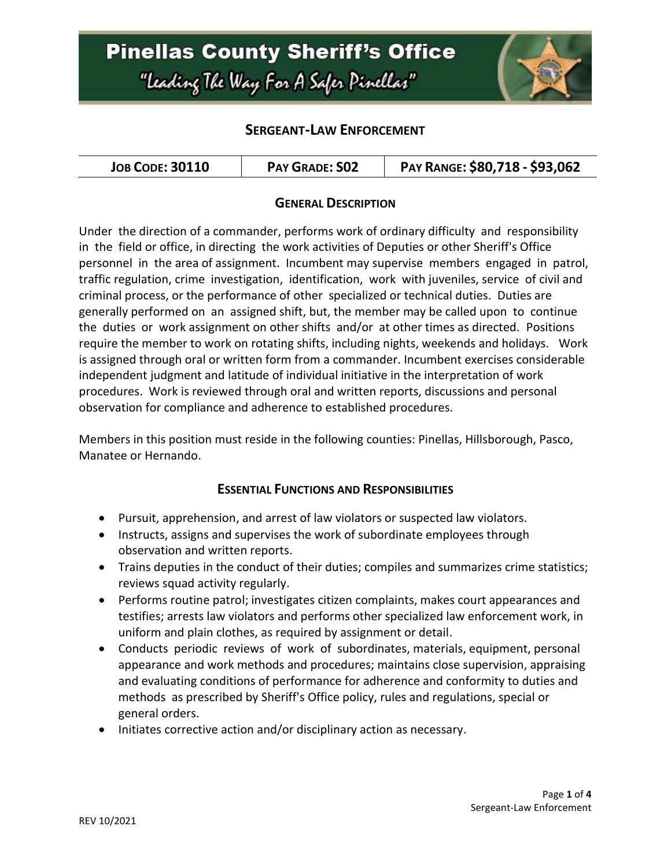

### **SERGEANT-LAW ENFORCEMENT**

| PAY GRADE: SO2<br><b>JOB CODE: 30110</b> | PAY RANGE: \$80,718 - \$93,062 |
|------------------------------------------|--------------------------------|
|------------------------------------------|--------------------------------|

#### **GENERAL DESCRIPTION**

Under the direction of a commander, performs work of ordinary difficulty and responsibility in the field or office, in directing the work activities of Deputies or other Sheriff's Office personnel in the area of assignment. Incumbent may supervise members engaged in patrol, traffic regulation, crime investigation, identification, work with juveniles, service of civil and criminal process, or the performance of other specialized or technical duties. Duties are generally performed on an assigned shift, but, the member may be called upon to continue the duties or work assignment on other shifts and/or at other times as directed. Positions require the member to work on rotating shifts, including nights, weekends and holidays. Work is assigned through oral or written form from a commander. Incumbent exercises considerable independent judgment and latitude of individual initiative in the interpretation of work procedures. Work is reviewed through oral and written reports, discussions and personal observation for compliance and adherence to established procedures.

Members in this position must reside in the following counties: Pinellas, Hillsborough, Pasco, Manatee or Hernando.

#### **ESSENTIAL FUNCTIONS AND RESPONSIBILITIES**

- Pursuit, apprehension, and arrest of law violators or suspected law violators.
- Instructs, assigns and supervises the work of subordinate employees through observation and written reports.
- Trains deputies in the conduct of their duties; compiles and summarizes crime statistics; reviews squad activity regularly.
- Performs routine patrol; investigates citizen complaints, makes court appearances and testifies; arrests law violators and performs other specialized law enforcement work, in uniform and plain clothes, as required by assignment or detail.
- Conducts periodic reviews of work of subordinates, materials, equipment, personal appearance and work methods and procedures; maintains close supervision, appraising and evaluating conditions of performance for adherence and conformity to duties and methods as prescribed by Sheriff's Office policy, rules and regulations, special or general orders.
- Initiates corrective action and/or disciplinary action as necessary.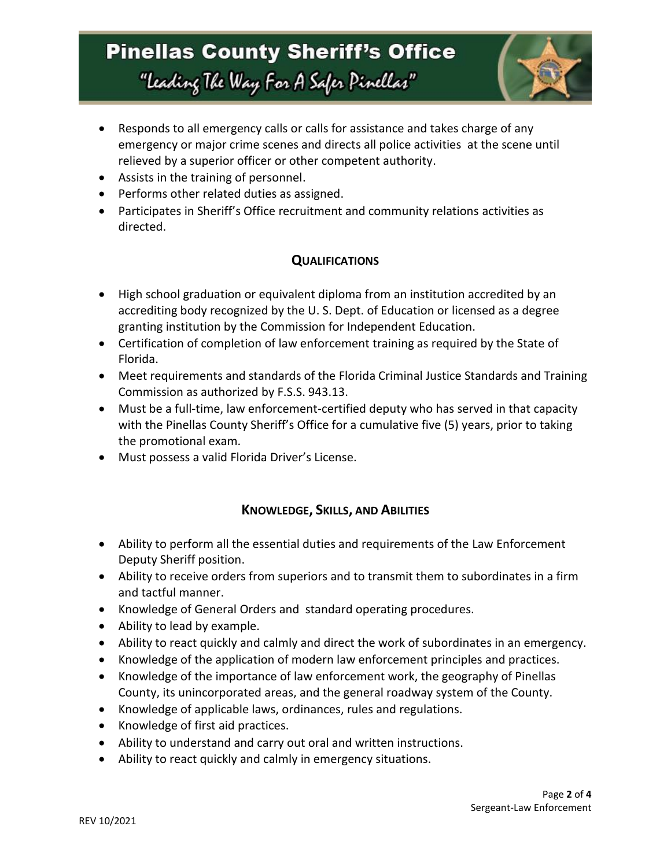

- Responds to all emergency calls or calls for assistance and takes charge of any emergency or major crime scenes and directs all police activities at the scene until relieved by a superior officer or other competent authority.
- Assists in the training of personnel.
- Performs other related duties as assigned.
- Participates in Sheriff's Office recruitment and community relations activities as directed.

### **QUALIFICATIONS**

- High school graduation or equivalent diploma from an institution accredited by an accrediting body recognized by the U. S. Dept. of Education or licensed as a degree granting institution by the Commission for Independent Education.
- Certification of completion of law enforcement training as required by the State of Florida.
- Meet requirements and standards of the Florida Criminal Justice Standards and Training Commission as authorized by F.S.S. 943.13.
- Must be a full-time, law enforcement-certified deputy who has served in that capacity with the Pinellas County Sheriff's Office for a cumulative five (5) years, prior to taking the promotional exam.
- Must possess a valid Florida Driver's License.

### **KNOWLEDGE, SKILLS, AND ABILITIES**

- Ability to perform all the essential duties and requirements of the Law Enforcement Deputy Sheriff position.
- Ability to receive orders from superiors and to transmit them to subordinates in a firm and tactful manner.
- Knowledge of General Orders and standard operating procedures.
- Ability to lead by example.
- Ability to react quickly and calmly and direct the work of subordinates in an emergency.
- Knowledge of the application of modern law enforcement principles and practices.
- Knowledge of the importance of law enforcement work, the geography of Pinellas County, its unincorporated areas, and the general roadway system of the County.
- Knowledge of applicable laws, ordinances, rules and regulations.
- Knowledge of first aid practices.
- Ability to understand and carry out oral and written instructions.
- Ability to react quickly and calmly in emergency situations.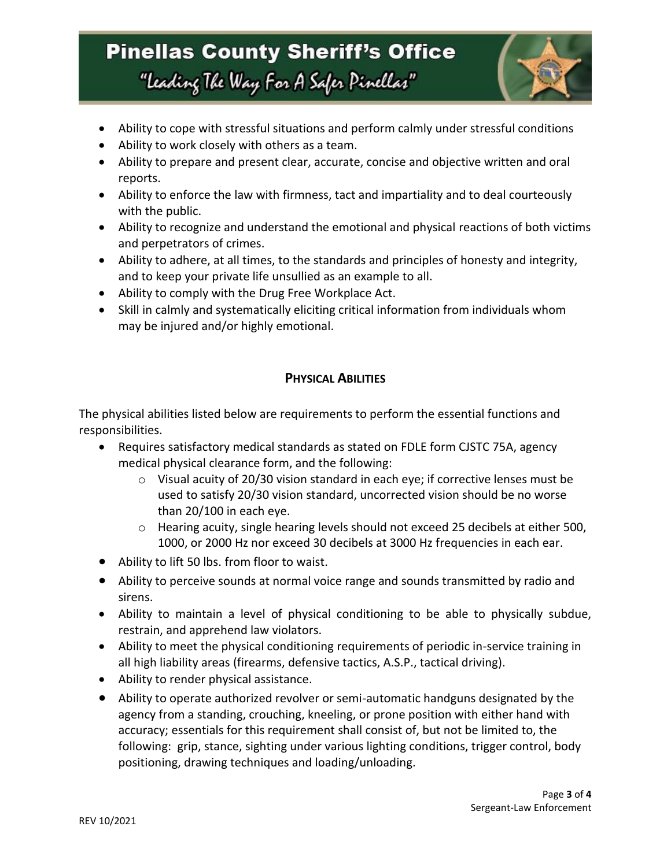

- Ability to cope with stressful situations and perform calmly under stressful conditions
- Ability to work closely with others as a team.
- Ability to prepare and present clear, accurate, concise and objective written and oral reports.
- Ability to enforce the law with firmness, tact and impartiality and to deal courteously with the public.
- Ability to recognize and understand the emotional and physical reactions of both victims and perpetrators of crimes.
- Ability to adhere, at all times, to the standards and principles of honesty and integrity, and to keep your private life unsullied as an example to all.
- Ability to comply with the Drug Free Workplace Act.
- Skill in calmly and systematically eliciting critical information from individuals whom may be injured and/or highly emotional.

### **PHYSICAL ABILITIES**

The physical abilities listed below are requirements to perform the essential functions and responsibilities.

- Requires satisfactory medical standards as stated on FDLE form CJSTC 75A, agency medical physical clearance form, and the following:
	- $\circ$  Visual acuity of 20/30 vision standard in each eye; if corrective lenses must be used to satisfy 20/30 vision standard, uncorrected vision should be no worse than 20/100 in each eye.
	- o Hearing acuity, single hearing levels should not exceed 25 decibels at either 500, 1000, or 2000 Hz nor exceed 30 decibels at 3000 Hz frequencies in each ear.
- Ability to lift 50 lbs. from floor to waist.
- Ability to perceive sounds at normal voice range and sounds transmitted by radio and sirens.
- Ability to maintain a level of physical conditioning to be able to physically subdue, restrain, and apprehend law violators.
- Ability to meet the physical conditioning requirements of periodic in-service training in all high liability areas (firearms, defensive tactics, A.S.P., tactical driving).
- Ability to render physical assistance.
- Ability to operate authorized revolver or semi-automatic handguns designated by the agency from a standing, crouching, kneeling, or prone position with either hand with accuracy; essentials for this requirement shall consist of, but not be limited to, the following: grip, stance, sighting under various lighting conditions, trigger control, body positioning, drawing techniques and loading/unloading.